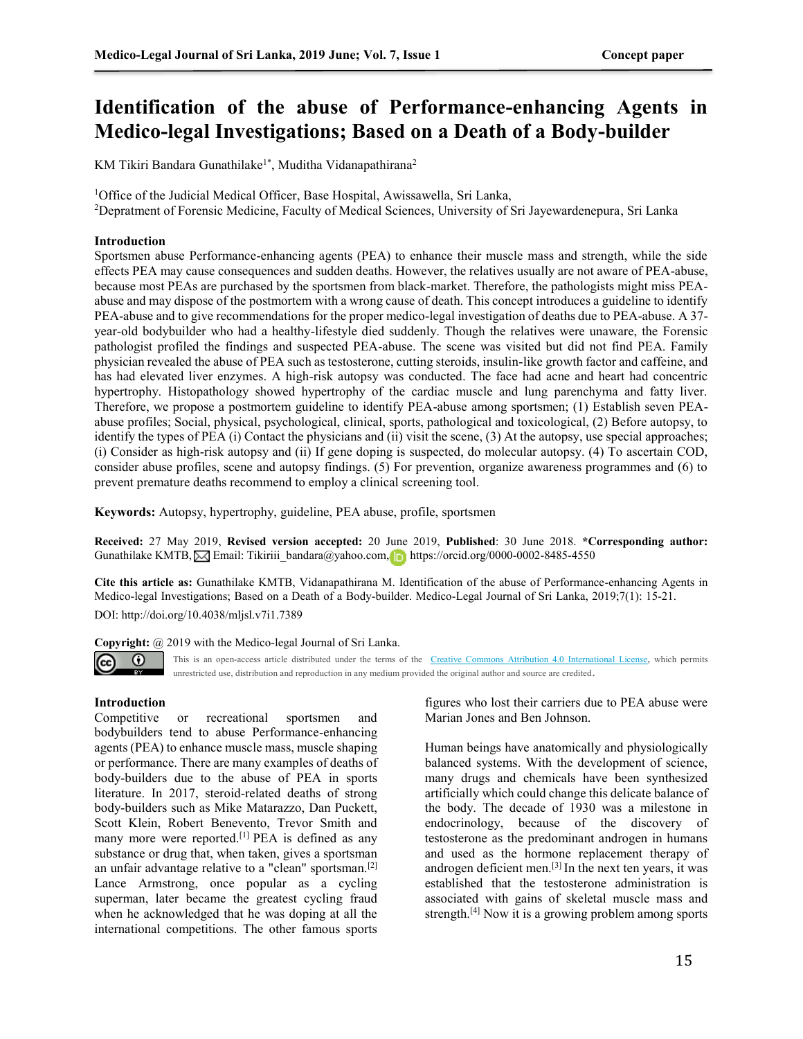# **Identification of the abuse of Performance-enhancing Agents in Medico-legal Investigations; Based on a Death of a Body-builder**

KM Tikiri Bandara Gunathilake<sup>1\*</sup>, Muditha Vidanapathirana<sup>2</sup>

<sup>1</sup>Office of the Judicial Medical Officer, Base Hospital, Awissawella, Sri Lanka, <sup>2</sup>Depratment of Forensic Medicine, Faculty of Medical Sciences, University of Sri Jayewardenepura, Sri Lanka

#### **Introduction**

Sportsmen abuse Performance-enhancing agents (PEA) to enhance their muscle mass and strength, while the side effects PEA may cause consequences and sudden deaths. However, the relatives usually are not aware of PEA-abuse, because most PEAs are purchased by the sportsmen from black-market. Therefore, the pathologists might miss PEAabuse and may dispose of the postmortem with a wrong cause of death. This concept introduces a guideline to identify PEA-abuse and to give recommendations for the proper medico-legal investigation of deaths due to PEA-abuse. A 37 year-old bodybuilder who had a healthy-lifestyle died suddenly. Though the relatives were unaware, the Forensic pathologist profiled the findings and suspected PEA-abuse. The scene was visited but did not find PEA. Family physician revealed the abuse of PEA such as testosterone, cutting steroids, insulin-like growth factor and caffeine, and has had elevated liver enzymes. A high-risk autopsy was conducted. The face had acne and heart had concentric hypertrophy. Histopathology showed hypertrophy of the cardiac muscle and lung parenchyma and fatty liver. Therefore, we propose a postmortem guideline to identify PEA-abuse among sportsmen; (1) Establish seven PEAabuse profiles; Social, physical, psychological, clinical, sports, pathological and toxicological, (2) Before autopsy, to identify the types of PEA (i) Contact the physicians and (ii) visit the scene, (3) At the autopsy, use special approaches; (i) Consider as high-risk autopsy and (ii) If gene doping is suspected, do molecular autopsy. (4) To ascertain COD, consider abuse profiles, scene and autopsy findings. (5) For prevention, organize awareness programmes and (6) to prevent premature deaths recommend to employ a clinical screening tool.

**Keywords:** Autopsy, hypertrophy, guideline, PEA abuse, profile, sportsmen

**Received:** 27 May 2019, **Revised version accepted:** 20 June 2019, **Published**: 30 June 2018. **\*Corresponding author:** GunathilakeKMTB, **Email:** [Tikiriii\\_bandara@yahoo.com,](mailto:Tikiriii_bandara@yahoo.com) https://orcid.org/0000-0002-8485-4550

**Cite this article as:** Gunathilake KMTB, Vidanapathirana M. Identification of the abuse of Performance-enhancing Agents in Medico-legal Investigations; Based on a Death of a Body-builder. Medico-Legal Journal of Sri Lanka, 2019;7(1): 15-21. DOI: http://doi.org/10.4038/mljsl.v7i1.7389

**Copyright:** @ 2019 with the Medico-legal Journal of Sri Lanka.



This is an open-access article distributed under the terms of the [Creative Commons Attribution 4.0 International License,](http://creativecommons.org/licenses/by/4.0/) which permits unrestricted use, distribution and reproduction in any medium provided the original author and source are credited.

### **Introduction**

Competitive or recreational sportsmen and bodybuilders tend to abuse Performance-enhancing agents (PEA) to enhance muscle mass, muscle shaping or performance. There are many examples of deaths of body-builders due to the abuse of PEA in sports literature. In 2017, steroid-related deaths of strong body-builders such as Mike Matarazzo, Dan Puckett, Scott Klein, Robert Benevento, Trevor Smith and many more were reported.<sup>[1]</sup> PEA is defined as any substance or drug that, when taken, gives a sportsman an unfair advantage relative to a "clean" sportsman.[2] Lance Armstrong, once popular as a cycling superman, later became the greatest cycling fraud when he acknowledged that he was doping at all the international competitions. The other famous sports

figures who lost their carriers due to PEA abuse were Marian Jones and Ben Johnson.

Human beings have anatomically and physiologically balanced systems. With the development of science, many drugs and chemicals have been synthesized artificially which could change this delicate balance of the body. The decade of 1930 was a milestone in endocrinology, because of the discovery of testosterone as the predominant androgen in humans and used as the hormone replacement therapy of androgen deficient men.[3] In the next ten years, it was established that the testosterone administration is associated with gains of skeletal muscle mass and strength.[4] Now it is a growing problem among sports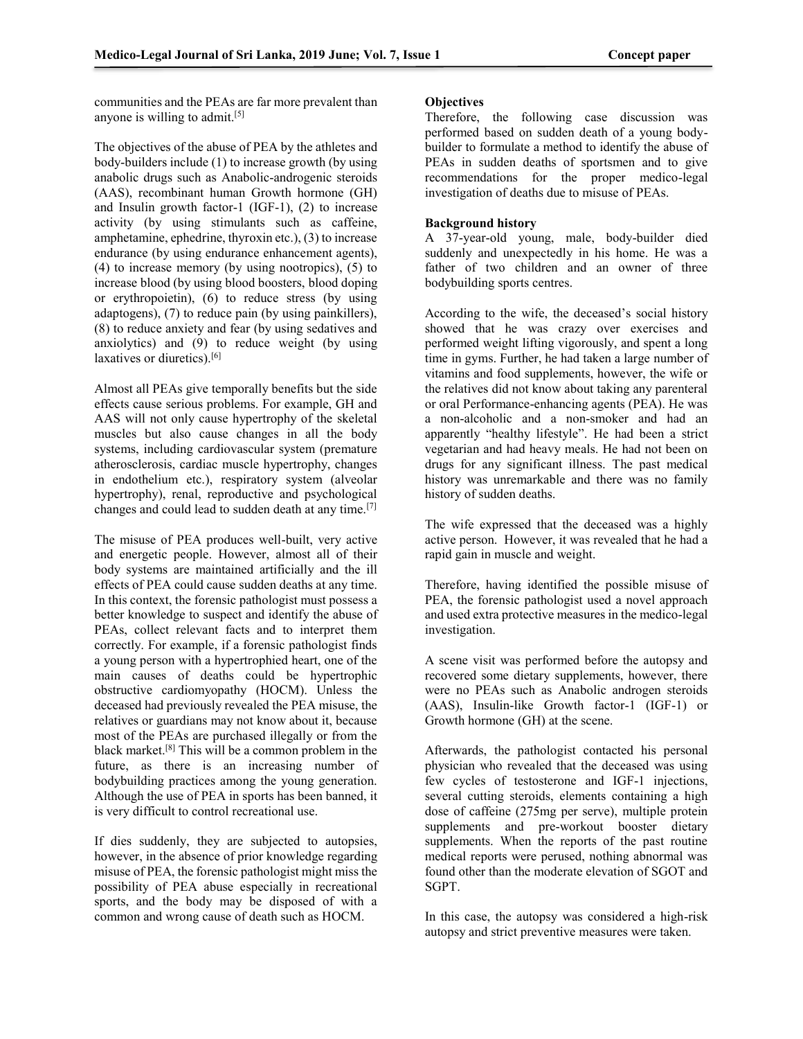communities and the PEAs are far more prevalent than anyone is willing to admit.<sup>[5]</sup>

The objectives of the abuse of PEA by the athletes and body-builders include (1) to increase growth (by using anabolic drugs such as Anabolic-androgenic steroids (AAS), recombinant human Growth hormone (GH) and Insulin growth factor-1 (IGF-1), (2) to increase activity (by using stimulants such as caffeine, amphetamine, ephedrine, thyroxin etc.), (3) to increase endurance (by using endurance enhancement agents), (4) to increase memory (by using nootropics), (5) to increase blood (by using blood boosters, blood doping or erythropoietin), (6) to reduce stress (by using adaptogens), (7) to reduce pain (by using painkillers), (8) to reduce anxiety and fear (by using sedatives and anxiolytics) and (9) to reduce weight (by using laxatives or diuretics).<sup>[6]</sup>

Almost all PEAs give temporally benefits but the side effects cause serious problems. For example, GH and AAS will not only cause hypertrophy of the skeletal muscles but also cause changes in all the body systems, including cardiovascular system (premature atherosclerosis, cardiac muscle hypertrophy, changes in endothelium etc.), respiratory system (alveolar hypertrophy), renal, reproductive and psychological changes and could lead to sudden death at any time.[7]

The misuse of PEA produces well-built, very active and energetic people. However, almost all of their body systems are maintained artificially and the ill effects of PEA could cause sudden deaths at any time. In this context, the forensic pathologist must possess a better knowledge to suspect and identify the abuse of PEAs, collect relevant facts and to interpret them correctly. For example, if a forensic pathologist finds a young person with a hypertrophied heart, one of the main causes of deaths could be hypertrophic obstructive cardiomyopathy (HOCM). Unless the deceased had previously revealed the PEA misuse, the relatives or guardians may not know about it, because most of the PEAs are purchased illegally or from the black market.[8] This will be a common problem in the future, as there is an increasing number of bodybuilding practices among the young generation. Although the use of PEA in sports has been banned, it is very difficult to control recreational use.

If dies suddenly, they are subjected to autopsies, however, in the absence of prior knowledge regarding misuse of PEA, the forensic pathologist might miss the possibility of PEA abuse especially in recreational sports, and the body may be disposed of with a common and wrong cause of death such as HOCM.

# **Objectives**

Therefore, the following case discussion was performed based on sudden death of a young bodybuilder to formulate a method to identify the abuse of PEAs in sudden deaths of sportsmen and to give recommendations for the proper medico-legal investigation of deaths due to misuse of PEAs.

### **Background history**

A 37-year-old young, male, body-builder died suddenly and unexpectedly in his home. He was a father of two children and an owner of three bodybuilding sports centres.

According to the wife, the deceased's social history showed that he was crazy over exercises and performed weight lifting vigorously, and spent a long time in gyms. Further, he had taken a large number of vitamins and food supplements, however, the wife or the relatives did not know about taking any parenteral or oral Performance-enhancing agents (PEA). He was a non-alcoholic and a non-smoker and had an apparently "healthy lifestyle". He had been a strict vegetarian and had heavy meals. He had not been on drugs for any significant illness. The past medical history was unremarkable and there was no family history of sudden deaths.

The wife expressed that the deceased was a highly active person. However, it was revealed that he had a rapid gain in muscle and weight.

Therefore, having identified the possible misuse of PEA, the forensic pathologist used a novel approach and used extra protective measures in the medico-legal investigation.

A scene visit was performed before the autopsy and recovered some dietary supplements, however, there were no PEAs such as Anabolic androgen steroids (AAS), Insulin-like Growth factor-1 (IGF-1) or Growth hormone (GH) at the scene.

Afterwards, the pathologist contacted his personal physician who revealed that the deceased was using few cycles of testosterone and IGF-1 injections, several cutting steroids, elements containing a high dose of caffeine (275mg per serve), multiple protein supplements and pre-workout booster dietary supplements. When the reports of the past routine medical reports were perused, nothing abnormal was found other than the moderate elevation of SGOT and SGPT.

In this case, the autopsy was considered a high-risk autopsy and strict preventive measures were taken.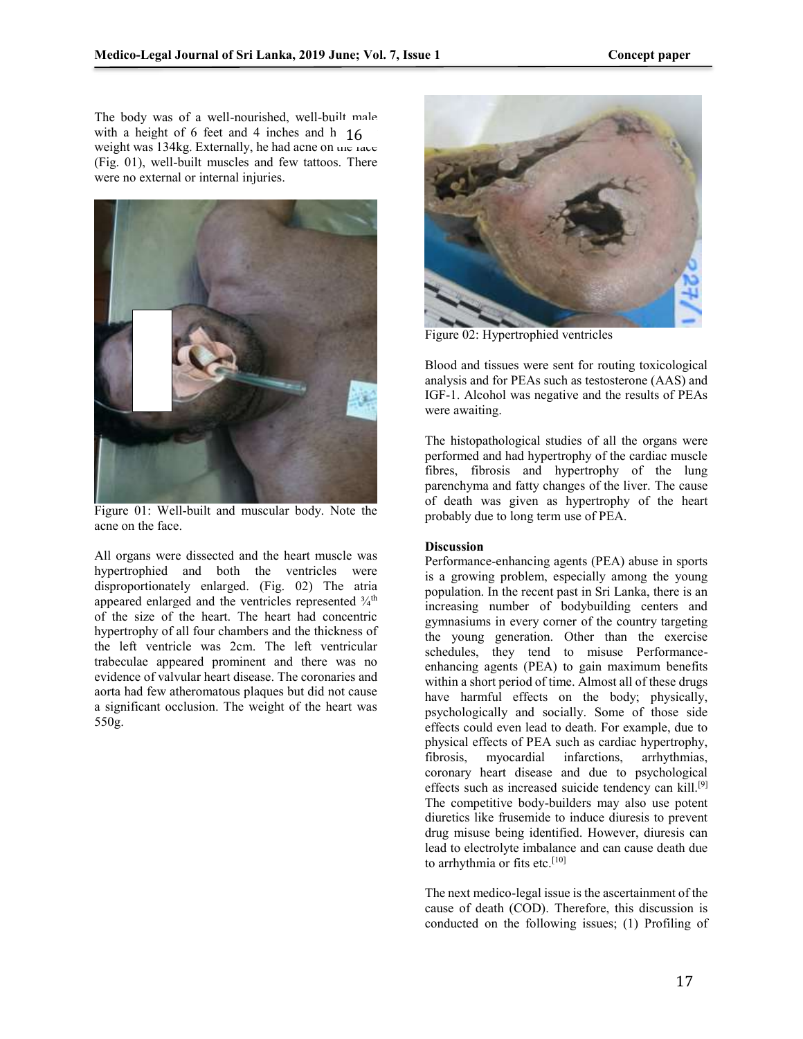The body was of a well-nourished, well-built male with a height of 6 feet and 4 inches and h  $16$ weight was  $134\text{kg}$ . Externally, he had acne on the face (Fig. 01), well-built muscles and few tattoos. There were no external or internal injuries.



Figure 01: Well-built and muscular body. Note the acne on the face.

All organs were dissected and the heart muscle was hypertrophied and both the ventricles were disproportionately enlarged. (Fig. 02) The atria appeared enlarged and the ventricles represented  $\frac{3}{4}$ <sup>th</sup> of the size of the heart. The heart had concentric hypertrophy of all four chambers and the thickness of the left ventricle was 2cm. The left ventricular trabeculae appeared prominent and there was no evidence of valvular heart disease. The coronaries and aorta had few atheromatous plaques but did not cause a significant occlusion. The weight of the heart was 550g.



Figure 02: Hypertrophied ventricles

Blood and tissues were sent for routing toxicological analysis and for PEAs such as testosterone (AAS) and IGF-1. Alcohol was negative and the results of PEAs were awaiting.

The histopathological studies of all the organs were performed and had hypertrophy of the cardiac muscle fibres, fibrosis and hypertrophy of the lung parenchyma and fatty changes of the liver. The cause of death was given as hypertrophy of the heart probably due to long term use of PEA.

### **Discussion**

Performance-enhancing agents (PEA) abuse in sports is a growing problem, especially among the young population. In the recent past in Sri Lanka, there is an increasing number of bodybuilding centers and gymnasiums in every corner of the country targeting the young generation. Other than the exercise schedules, they tend to misuse Performanceenhancing agents (PEA) to gain maximum benefits within a short period of time. Almost all of these drugs have harmful effects on the body; physically, psychologically and socially. Some of those side effects could even lead to death. For example, due to physical effects of PEA such as cardiac hypertrophy, fibrosis, myocardial infarctions, arrhythmias, coronary heart disease and due to psychological effects such as increased suicide tendency can kill.<sup>[9]</sup> The competitive body-builders may also use potent diuretics like frusemide to induce diuresis to prevent drug misuse being identified. However, diuresis can lead to electrolyte imbalance and can cause death due to arrhythmia or fits etc.<sup>[10]</sup>

The next medico-legal issue is the ascertainment of the cause of death (COD). Therefore, this discussion is conducted on the following issues; (1) Profiling of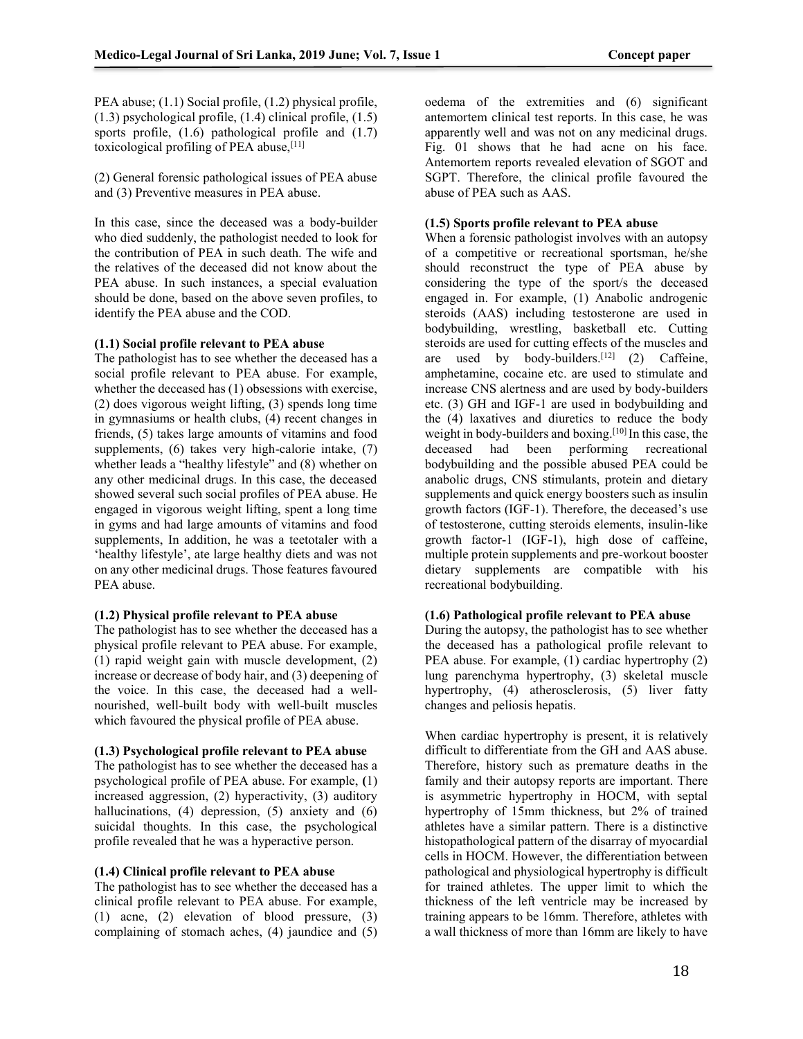PEA abuse; (1.1) Social profile, (1.2) physical profile, (1.3) psychological profile, (1.4) clinical profile, (1.5) sports profile,  $(1.6)$  pathological profile and  $(1.7)$ toxicological profiling of PEA abuse,<sup>[11]</sup>

(2) General forensic pathological issues of PEA abuse and (3) Preventive measures in PEA abuse.

In this case, since the deceased was a body-builder who died suddenly, the pathologist needed to look for the contribution of PEA in such death. The wife and the relatives of the deceased did not know about the PEA abuse. In such instances, a special evaluation should be done, based on the above seven profiles, to identify the PEA abuse and the COD.

#### **(1.1) Social profile relevant to PEA abuse**

The pathologist has to see whether the deceased has a social profile relevant to PEA abuse. For example, whether the deceased has (1) obsessions with exercise, (2) does vigorous weight lifting, (3) spends long time in gymnasiums or health clubs, (4) recent changes in friends, (5) takes large amounts of vitamins and food supplements, (6) takes very high-calorie intake, (7) whether leads a "healthy lifestyle" and (8) whether on any other medicinal drugs. In this case, the deceased showed several such social profiles of PEA abuse. He engaged in vigorous weight lifting, spent a long time in gyms and had large amounts of vitamins and food supplements, In addition, he was a teetotaler with a 'healthy lifestyle', ate large healthy diets and was not on any other medicinal drugs. Those features favoured PEA abuse.

### **(1.2) Physical profile relevant to PEA abuse**

The pathologist has to see whether the deceased has a physical profile relevant to PEA abuse. For example, (1) rapid weight gain with muscle development, (2) increase or decrease of body hair, and (3) deepening of the voice. In this case, the deceased had a wellnourished, well-built body with well-built muscles which favoured the physical profile of PEA abuse.

#### **(1.3) Psychological profile relevant to PEA abuse**

The pathologist has to see whether the deceased has a psychological profile of PEA abuse. For example, **(**1) increased aggression, (2) hyperactivity, (3) auditory hallucinations, (4) depression, (5) anxiety and (6) suicidal thoughts. In this case, the psychological profile revealed that he was a hyperactive person.

### **(1.4) Clinical profile relevant to PEA abuse**

The pathologist has to see whether the deceased has a clinical profile relevant to PEA abuse. For example, (1) acne, (2) elevation of blood pressure, (3) complaining of stomach aches, (4) jaundice and (5) oedema of the extremities and (6) significant antemortem clinical test reports. In this case, he was apparently well and was not on any medicinal drugs. Fig. 01 shows that he had acne on his face. Antemortem reports revealed elevation of SGOT and SGPT. Therefore, the clinical profile favoured the abuse of PEA such as AAS.

#### **(1.5) Sports profile relevant to PEA abuse**

When a forensic pathologist involves with an autopsy of a competitive or recreational sportsman, he/she should reconstruct the type of PEA abuse by considering the type of the sport/s the deceased engaged in. For example, (1) Anabolic androgenic steroids (AAS) including testosterone are used in bodybuilding, wrestling, basketball etc. Cutting steroids are used for cutting effects of the muscles and are used by body-builders.<sup>[12]</sup>  $(2)$  Caffeine, amphetamine, cocaine etc. are used to stimulate and increase CNS alertness and are used by body-builders etc. (3) GH and IGF-1 are used in bodybuilding and the (4) laxatives and diuretics to reduce the body weight in body-builders and boxing.[10] In this case, the deceased had been performing recreational bodybuilding and the possible abused PEA could be anabolic drugs, CNS stimulants, protein and dietary supplements and quick energy boosters such as insulin growth factors (IGF-1). Therefore, the deceased's use of testosterone, cutting steroids elements, insulin-like growth factor-1 (IGF-1), high dose of caffeine, multiple protein supplements and pre-workout booster dietary supplements are compatible with his recreational bodybuilding.

# **(1.6) Pathological profile relevant to PEA abuse**

During the autopsy, the pathologist has to see whether the deceased has a pathological profile relevant to PEA abuse. For example, (1) cardiac hypertrophy (2) lung parenchyma hypertrophy, (3) skeletal muscle hypertrophy, (4) atherosclerosis, (5) liver fatty changes and peliosis hepatis.

When cardiac hypertrophy is present, it is relatively difficult to differentiate from the GH and AAS abuse. Therefore, history such as premature deaths in the family and their autopsy reports are important. There is asymmetric hypertrophy in HOCM, with septal hypertrophy of 15mm thickness, but 2% of trained athletes have a similar pattern. There is a distinctive histopathological pattern of the disarray of myocardial cells in HOCM. However, the differentiation between pathological and physiological hypertrophy is difficult for trained athletes. The upper limit to which the thickness of the left ventricle may be increased by training appears to be 16mm. Therefore, athletes with a wall thickness of more than 16mm are likely to have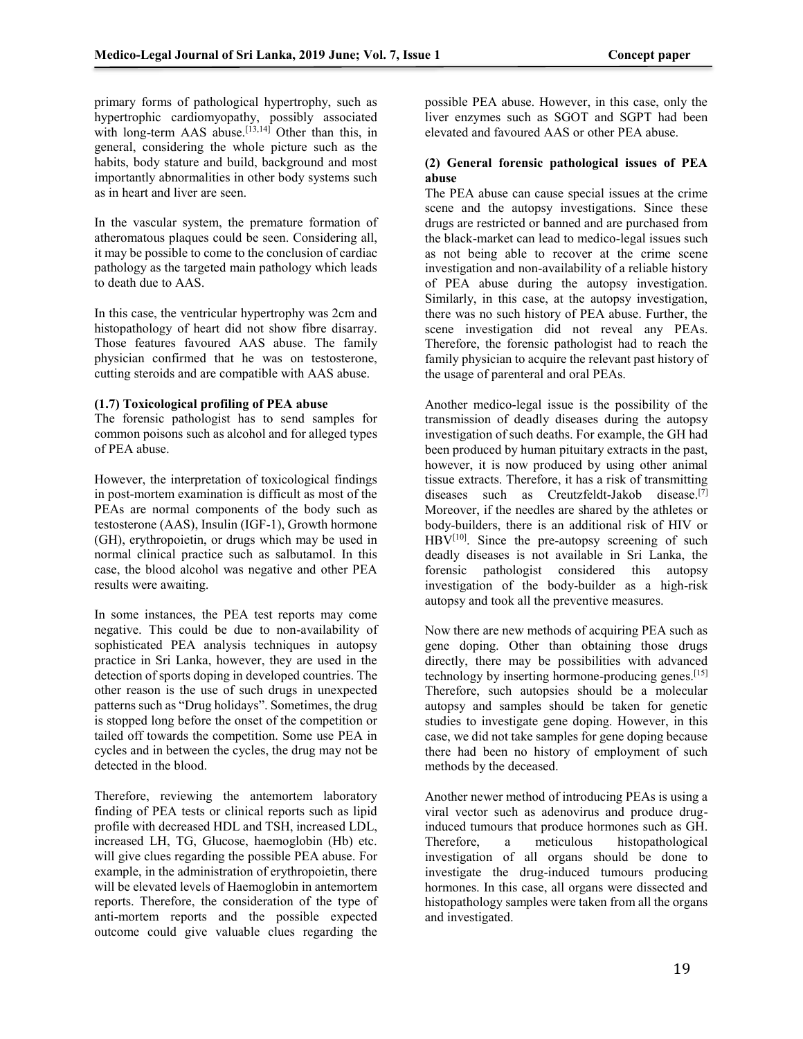primary forms of pathological hypertrophy, such as hypertrophic cardiomyopathy, possibly associated with long-term AAS abuse. $[13,14]$  Other than this, in general, considering the whole picture such as the habits, body stature and build, background and most importantly abnormalities in other body systems such as in heart and liver are seen.

In the vascular system, the premature formation of atheromatous plaques could be seen. Considering all, it may be possible to come to the conclusion of cardiac pathology as the targeted main pathology which leads to death due to AAS.

In this case, the ventricular hypertrophy was 2cm and histopathology of heart did not show fibre disarray. Those features favoured AAS abuse. The family physician confirmed that he was on testosterone, cutting steroids and are compatible with AAS abuse.

#### **(1.7) Toxicological profiling of PEA abuse**

The forensic pathologist has to send samples for common poisons such as alcohol and for alleged types of PEA abuse.

However, the interpretation of toxicological findings in post-mortem examination is difficult as most of the PEAs are normal components of the body such as testosterone (AAS), Insulin (IGF-1), Growth hormone (GH), erythropoietin, or drugs which may be used in normal clinical practice such as salbutamol. In this case, the blood alcohol was negative and other PEA results were awaiting.

In some instances, the PEA test reports may come negative. This could be due to non-availability of sophisticated PEA analysis techniques in autopsy practice in Sri Lanka, however, they are used in the detection of sports doping in developed countries. The other reason is the use of such drugs in unexpected patterns such as "Drug holidays". Sometimes, the drug is stopped long before the onset of the competition or tailed off towards the competition. Some use PEA in cycles and in between the cycles, the drug may not be detected in the blood.

Therefore, reviewing the antemortem laboratory finding of PEA tests or clinical reports such as lipid profile with decreased HDL and TSH, increased LDL, increased LH, TG, Glucose, haemoglobin (Hb) etc. will give clues regarding the possible PEA abuse. For example, in the administration of erythropoietin, there will be elevated levels of Haemoglobin in antemortem reports. Therefore, the consideration of the type of anti-mortem reports and the possible expected outcome could give valuable clues regarding the

possible PEA abuse. However, in this case, only the liver enzymes such as SGOT and SGPT had been elevated and favoured AAS or other PEA abuse.

## **(2) General forensic pathological issues of PEA abuse**

The PEA abuse can cause special issues at the crime scene and the autopsy investigations. Since these drugs are restricted or banned and are purchased from the black-market can lead to medico-legal issues such as not being able to recover at the crime scene investigation and non-availability of a reliable history of PEA abuse during the autopsy investigation. Similarly, in this case, at the autopsy investigation, there was no such history of PEA abuse. Further, the scene investigation did not reveal any PEAs. Therefore, the forensic pathologist had to reach the family physician to acquire the relevant past history of the usage of parenteral and oral PEAs.

Another medico-legal issue is the possibility of the transmission of deadly diseases during the autopsy investigation of such deaths. For example, the GH had been produced by human pituitary extracts in the past, however, it is now produced by using other animal tissue extracts. Therefore, it has a risk of transmitting diseases such as Creutzfeldt-Jakob disease.[7] Moreover, if the needles are shared by the athletes or body-builders, there is an additional risk of HIV or  $HBV<sup>[10]</sup>$ . Since the pre-autopsy screening of such deadly diseases is not available in Sri Lanka, the forensic pathologist considered this autopsy investigation of the body-builder as a high-risk autopsy and took all the preventive measures.

Now there are new methods of acquiring PEA such as gene doping. Other than obtaining those drugs directly, there may be possibilities with advanced technology by inserting hormone-producing genes.[15] Therefore, such autopsies should be a molecular autopsy and samples should be taken for genetic studies to investigate gene doping. However, in this case, we did not take samples for gene doping because there had been no history of employment of such methods by the deceased.

Another newer method of introducing PEAs is using a viral vector such as adenovirus and produce druginduced tumours that produce hormones such as GH. Therefore, a meticulous histopathological investigation of all organs should be done to investigate the drug-induced tumours producing hormones. In this case, all organs were dissected and histopathology samples were taken from all the organs and investigated.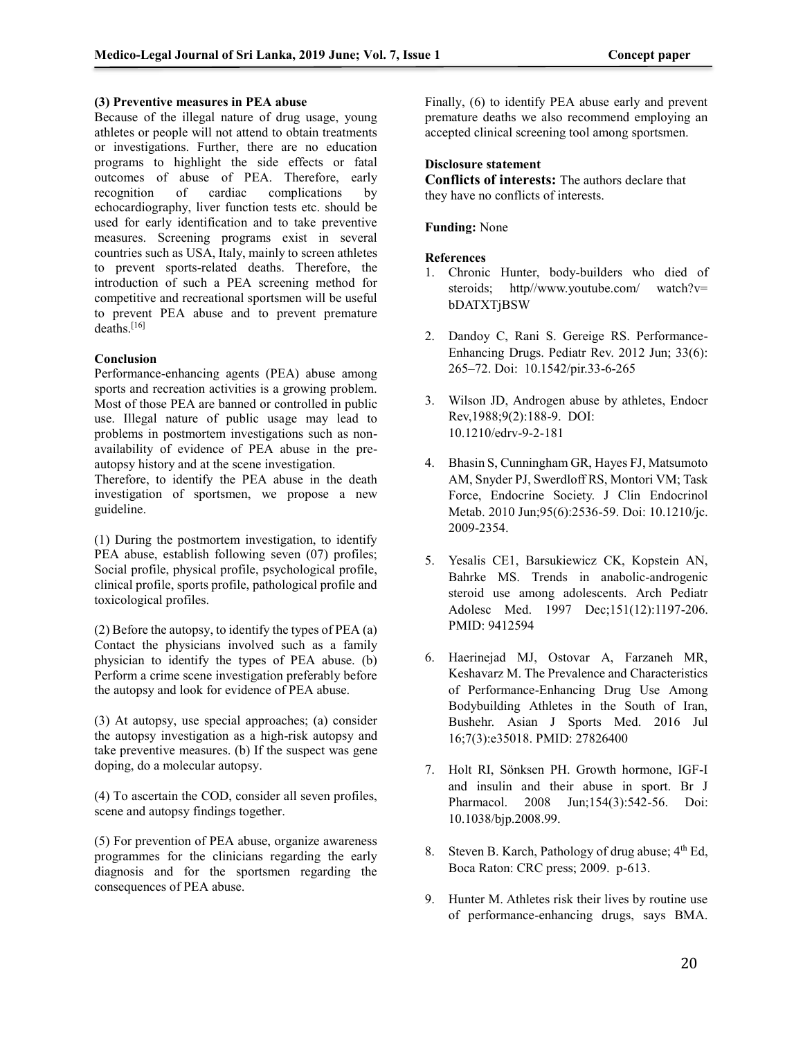#### **(3) Preventive measures in PEA abuse**

Because of the illegal nature of drug usage, young athletes or people will not attend to obtain treatments or investigations. Further, there are no education programs to highlight the side effects or fatal outcomes of abuse of PEA. Therefore, early recognition of cardiac complications by echocardiography, liver function tests etc. should be used for early identification and to take preventive measures. Screening programs exist in several countries such as USA, Italy, mainly to screen athletes to prevent sports-related deaths. Therefore, the introduction of such a PEA screening method for competitive and recreational sportsmen will be useful to prevent PEA abuse and to prevent premature deaths.<sup>[16]</sup>

#### **Conclusion**

Performance-enhancing agents (PEA) abuse among sports and recreation activities is a growing problem. Most of those PEA are banned or controlled in public use. Illegal nature of public usage may lead to problems in postmortem investigations such as nonavailability of evidence of PEA abuse in the preautopsy history and at the scene investigation.

Therefore, to identify the PEA abuse in the death investigation of sportsmen, we propose a new guideline.

(1) During the postmortem investigation, to identify PEA abuse, establish following seven (07) profiles; Social profile, physical profile, psychological profile, clinical profile, sports profile, pathological profile and toxicological profiles.

(2) Before the autopsy, to identify the types of PEA (a) Contact the physicians involved such as a family physician to identify the types of PEA abuse. (b) Perform a crime scene investigation preferably before the autopsy and look for evidence of PEA abuse.

(3) At autopsy, use special approaches; (a) consider the autopsy investigation as a high-risk autopsy and take preventive measures. (b) If the suspect was gene doping, do a molecular autopsy.

(4) To ascertain the COD, consider all seven profiles, scene and autopsy findings together.

(5) For prevention of PEA abuse, organize awareness programmes for the clinicians regarding the early diagnosis and for the sportsmen regarding the consequences of PEA abuse.

Finally, (6) to identify PEA abuse early and prevent premature deaths we also recommend employing an accepted clinical screening tool among sportsmen.

### **Disclosure statement**

**Conflicts of interests:** The authors declare that they have no conflicts of interests.

**Funding:** None

### **References**

- 1. Chronic Hunter, body-builders who died of steroids; http//www.youtube.com/ watch?v= bDATXTjBSW
- 2. Dandoy C, Rani S. Gereige RS. Performance-Enhancing Drugs. Pediatr Rev. 2012 Jun; 33(6): 265–72. Doi: 10.1542/pir.33-6-265
- 3. Wilson JD, Androgen abuse by athletes, Endocr Rev,1988;9(2):188-9. DOI: [10.1210/edrv-9-2-181](https://doi.org/10.1210/edrv-9-2-181)
- 4. Bhasin S, Cunningham GR, Hayes FJ, Matsumoto AM, Snyder PJ, Swerdloff RS, Montori VM; Task Force, Endocrine Society. J Clin Endocrinol Metab. 2010 Jun;95(6):2536-59. Doi: 10.1210/jc. 2009-2354.
- 5. Yesalis CE1, Barsukiewicz CK, Kopstein AN, Bahrke MS. Trends in anabolic-androgenic steroid use among adolescents. Arch Pediatr Adolesc Med. 1997 Dec;151(12):1197-206. PMID: 9412594
- 6. Haerinejad MJ, Ostovar A, Farzaneh MR, Keshavarz M. The Prevalence and Characteristics of Performance-Enhancing Drug Use Among Bodybuilding Athletes in the South of Iran, Bushehr. [Asian J Sports Med.](https://www.ncbi.nlm.nih.gov/pubmed/27826400) 2016 Jul 16;7(3):e35018. PMID: 27826400
- 7. Holt RI, Sönksen PH. Growth hormone, IGF-I and insulin and their abuse in sport. Br J Pharmacol. 2008 Jun;154(3):542-56. Doi: 10.1038/bjp.2008.99.
- 8. Steven B. Karch, Pathology of drug abuse;  $4<sup>th</sup>$  Ed, Boca Raton: CRC press; 2009. p-613.
- 9. Hunter M. Athletes risk their lives by routine use of performance-enhancing drugs, says BMA.